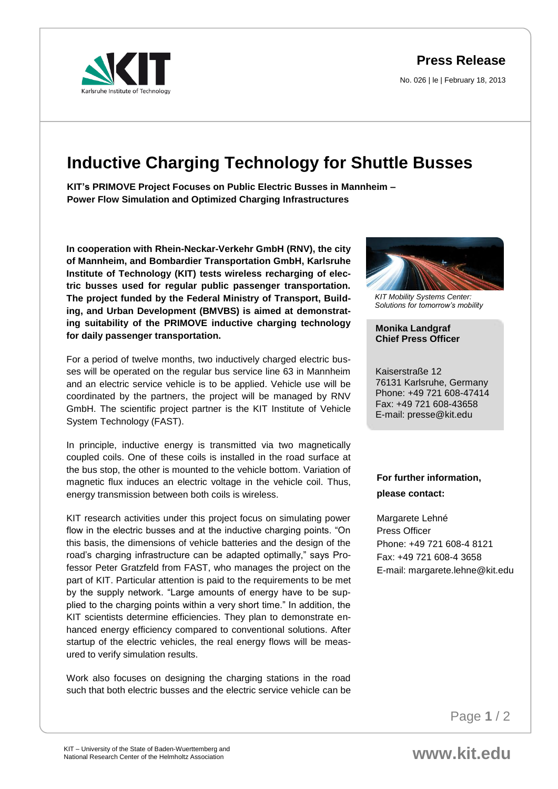**Press Release**

No. 026 | le | February 18, 2013



## **Inductive Charging Technology for Shuttle Busses**

**KIT's PRIMOVE Project Focuses on Public Electric Busses in Mannheim – Power Flow Simulation and Optimized Charging Infrastructures** 

**In cooperation with Rhein-Neckar-Verkehr GmbH (RNV), the city of Mannheim, and Bombardier Transportation GmbH, Karlsruhe Institute of Technology (KIT) tests wireless recharging of electric busses used for regular public passenger transportation. The project funded by the Federal Ministry of Transport, Building, and Urban Development (BMVBS) is aimed at demonstrating suitability of the PRIMOVE inductive charging technology for daily passenger transportation.**

For a period of twelve months, two inductively charged electric busses will be operated on the regular bus service line 63 in Mannheim and an electric service vehicle is to be applied. Vehicle use will be coordinated by the partners, the project will be managed by RNV GmbH. The scientific project partner is the KIT Institute of Vehicle System Technology (FAST).

In principle, inductive energy is transmitted via two magnetically coupled coils. One of these coils is installed in the road surface at the bus stop, the other is mounted to the vehicle bottom. Variation of magnetic flux induces an electric voltage in the vehicle coil. Thus, energy transmission between both coils is wireless.

KIT research activities under this project focus on simulating power flow in the electric busses and at the inductive charging points. "On this basis, the dimensions of vehicle batteries and the design of the road's charging infrastructure can be adapted optimally," says Professor Peter Gratzfeld from FAST, who manages the project on the part of KIT. Particular attention is paid to the requirements to be met by the supply network. "Large amounts of energy have to be supplied to the charging points within a very short time." In addition, the KIT scientists determine efficiencies. They plan to demonstrate enhanced energy efficiency compared to conventional solutions. After startup of the electric vehicles, the real energy flows will be measured to verify simulation results.

Work also focuses on designing the charging stations in the road such that both electric busses and the electric service vehicle can be



*KIT Mobility Systems Center: Solutions for tomorrow's mobility*

## **Monika Landgraf Chief Press Officer**

Kaiserstraße 12 76131 Karlsruhe, Germany Phone: +49 721 608-47414 Fax: +49 721 608-43658 E-mail: presse@kit.edu

## **For further information, please contact:**

Margarete Lehné Press Officer Phone: +49 721 608-4 8121 Fax: +49 721 608-4 3658 E-mail: margarete.lehne@kit.edu

Page **1** / 2